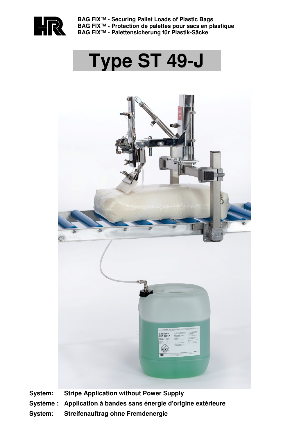

**BAG FIX™ - Securing Pallet Loads of Plastic Bags BAG FIX™ - Protection de palettes pour sacs en plastique BAG FIX™ - Palettensicherung für Plastik-Säcke** 

# **Type ST 49-J**



- **System: Stripe Application without Power Supply**
- **Système : Application à bandes sans énergie d'origine extérieure**
- **System: Streifenauftrag ohne Fremdenergie**